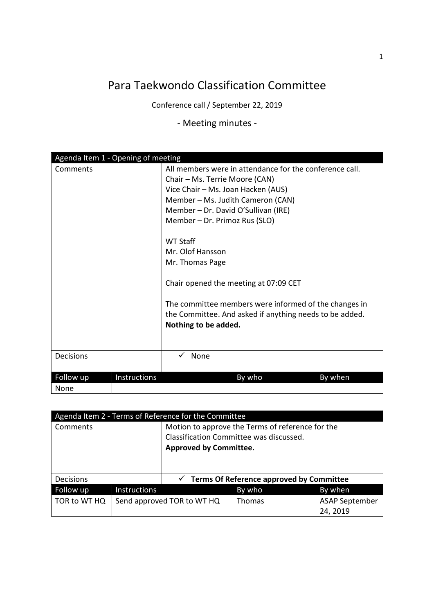## Para Taekwondo Classification Committee

Conference call / September 22, 2019

- Meeting minutes -

| Agenda Item 1 - Opening of meeting |                                                                                                                                                                                                                                                                                                                                                                                                                                                                                             |
|------------------------------------|---------------------------------------------------------------------------------------------------------------------------------------------------------------------------------------------------------------------------------------------------------------------------------------------------------------------------------------------------------------------------------------------------------------------------------------------------------------------------------------------|
| Comments                           | All members were in attendance for the conference call.<br>Chair - Ms. Terrie Moore (CAN)<br>Vice Chair - Ms. Joan Hacken (AUS)<br>Member - Ms. Judith Cameron (CAN)<br>Member - Dr. David O'Sullivan (IRE)<br>Member - Dr. Primoz Rus (SLO)<br><b>WT Staff</b><br>Mr. Olof Hansson<br>Mr. Thomas Page<br>Chair opened the meeting at 07:09 CET<br>The committee members were informed of the changes in<br>the Committee. And asked if anything needs to be added.<br>Nothing to be added. |
| Decisions                          | None                                                                                                                                                                                                                                                                                                                                                                                                                                                                                        |
| Instructions<br>Follow up<br>None  | By who<br>By when                                                                                                                                                                                                                                                                                                                                                                                                                                                                           |

| Agenda Item 2 - Terms of Reference for the Committee |                     |                                                                                                                              |               |                                   |
|------------------------------------------------------|---------------------|------------------------------------------------------------------------------------------------------------------------------|---------------|-----------------------------------|
| Comments                                             |                     | Motion to approve the Terms of reference for the<br>Classification Committee was discussed.<br><b>Approved by Committee.</b> |               |                                   |
|                                                      |                     |                                                                                                                              |               |                                   |
| <b>Decisions</b>                                     |                     | $\checkmark$ Terms Of Reference approved by Committee                                                                        |               |                                   |
| Follow up                                            | <b>Instructions</b> |                                                                                                                              | By who        | By when                           |
| TOR to WT HQ                                         |                     | Send approved TOR to WT HQ                                                                                                   | <b>Thomas</b> | <b>ASAP September</b><br>24, 2019 |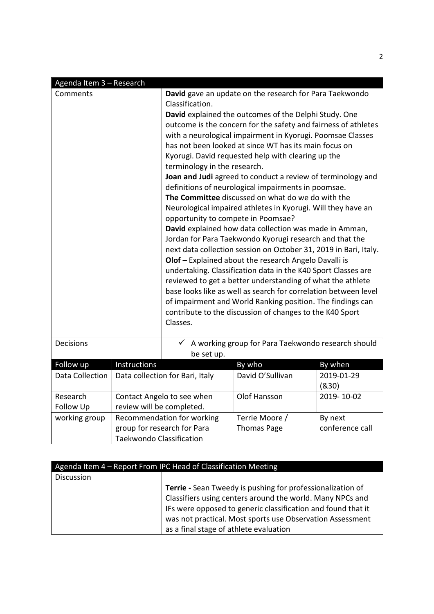| Agenda Item 3 - Research |                                                         |                                                                                                                                                                                       |                                                                                                                        |                     |
|--------------------------|---------------------------------------------------------|---------------------------------------------------------------------------------------------------------------------------------------------------------------------------------------|------------------------------------------------------------------------------------------------------------------------|---------------------|
| Comments                 |                                                         | Classification.                                                                                                                                                                       | David gave an update on the research for Para Taekwondo<br>David explained the outcomes of the Delphi Study. One       |                     |
|                          |                                                         | outcome is the concern for the safety and fairness of athletes<br>with a neurological impairment in Kyorugi. Poomsae Classes<br>has not been looked at since WT has its main focus on |                                                                                                                        |                     |
|                          |                                                         | terminology in the research.                                                                                                                                                          | Kyorugi. David requested help with clearing up the                                                                     |                     |
|                          |                                                         |                                                                                                                                                                                       | Joan and Judi agreed to conduct a review of terminology and<br>definitions of neurological impairments in poomsae.     |                     |
|                          |                                                         |                                                                                                                                                                                       | The Committee discussed on what do we do with the                                                                      |                     |
|                          |                                                         | opportunity to compete in Poomsae?                                                                                                                                                    | Neurological impaired athletes in Kyorugi. Will they have an                                                           |                     |
|                          |                                                         | David explained how data collection was made in Amman,<br>Jordan for Para Taekwondo Kyorugi research and that the                                                                     |                                                                                                                        |                     |
|                          |                                                         | next data collection session on October 31, 2019 in Bari, Italy.                                                                                                                      |                                                                                                                        |                     |
|                          |                                                         | Olof - Explained about the research Angelo Davalli is<br>undertaking. Classification data in the K40 Sport Classes are                                                                |                                                                                                                        |                     |
|                          |                                                         | reviewed to get a better understanding of what the athlete<br>base looks like as well as search for correlation between level                                                         |                                                                                                                        |                     |
|                          |                                                         |                                                                                                                                                                                       | of impairment and World Ranking position. The findings can<br>contribute to the discussion of changes to the K40 Sport |                     |
|                          |                                                         | Classes.                                                                                                                                                                              |                                                                                                                        |                     |
| Decisions                |                                                         | be set up.                                                                                                                                                                            | $\checkmark$ A working group for Para Taekwondo research should                                                        |                     |
| Follow up                | Instructions                                            |                                                                                                                                                                                       | By who                                                                                                                 | By when             |
| <b>Data Collection</b>   | Data collection for Bari, Italy                         |                                                                                                                                                                                       | David O'Sullivan                                                                                                       | 2019-01-29<br>(830) |
| Research<br>Follow Up    | Contact Angelo to see when<br>review will be completed. |                                                                                                                                                                                       | Olof Hansson                                                                                                           | 2019-10-02          |
| working group            |                                                         | Recommendation for working                                                                                                                                                            | Terrie Moore /                                                                                                         | By next             |
|                          | group for research for Para                             |                                                                                                                                                                                       | <b>Thomas Page</b>                                                                                                     | conference call     |
|                          | <b>Taekwondo Classification</b>                         |                                                                                                                                                                                       |                                                                                                                        |                     |

| Agenda Item 4 - Report From IPC Head of Classification Meeting |                                                              |  |  |
|----------------------------------------------------------------|--------------------------------------------------------------|--|--|
| <b>Discussion</b>                                              |                                                              |  |  |
|                                                                | Terrie - Sean Tweedy is pushing for professionalization of   |  |  |
|                                                                | Classifiers using centers around the world. Many NPCs and    |  |  |
|                                                                | IFs were opposed to generic classification and found that it |  |  |
|                                                                | was not practical. Most sports use Observation Assessment    |  |  |
|                                                                | as a final stage of athlete evaluation                       |  |  |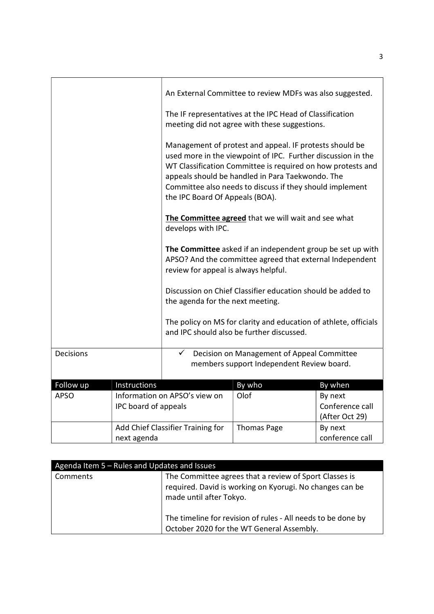|                  |                      |                                                                                                                                                                                                                                                                                                                                           | An External Committee to review MDFs was also suggested.<br>The IF representatives at the IPC Head of Classification<br>meeting did not agree with these suggestions. |                                              |
|------------------|----------------------|-------------------------------------------------------------------------------------------------------------------------------------------------------------------------------------------------------------------------------------------------------------------------------------------------------------------------------------------|-----------------------------------------------------------------------------------------------------------------------------------------------------------------------|----------------------------------------------|
|                  |                      | Management of protest and appeal. IF protests should be<br>used more in the viewpoint of IPC. Further discussion in the<br>WT Classification Committee is required on how protests and<br>appeals should be handled in Para Taekwondo. The<br>Committee also needs to discuss if they should implement<br>the IPC Board Of Appeals (BOA). |                                                                                                                                                                       |                                              |
|                  |                      | The Committee agreed that we will wait and see what<br>develops with IPC.                                                                                                                                                                                                                                                                 |                                                                                                                                                                       |                                              |
|                  |                      | The Committee asked if an independent group be set up with<br>APSO? And the committee agreed that external Independent<br>review for appeal is always helpful.                                                                                                                                                                            |                                                                                                                                                                       |                                              |
|                  |                      | Discussion on Chief Classifier education should be added to<br>the agenda for the next meeting.                                                                                                                                                                                                                                           |                                                                                                                                                                       |                                              |
|                  |                      | The policy on MS for clarity and education of athlete, officials<br>and IPC should also be further discussed.                                                                                                                                                                                                                             |                                                                                                                                                                       |                                              |
| <b>Decisions</b> |                      | $\checkmark$                                                                                                                                                                                                                                                                                                                              | Decision on Management of Appeal Committee<br>members support Independent Review board.                                                                               |                                              |
| Follow up        | Instructions         |                                                                                                                                                                                                                                                                                                                                           | By who                                                                                                                                                                | By when                                      |
| <b>APSO</b>      | IPC board of appeals | Information on APSO's view on                                                                                                                                                                                                                                                                                                             | Olof                                                                                                                                                                  | By next<br>Conference call<br>(After Oct 29) |
|                  | next agenda          | Add Chief Classifier Training for                                                                                                                                                                                                                                                                                                         | <b>Thomas Page</b>                                                                                                                                                    | By next<br>conference call                   |

| Agenda Item 5 - Rules and Updates and Issues |                                                                                                                                               |
|----------------------------------------------|-----------------------------------------------------------------------------------------------------------------------------------------------|
| Comments                                     | The Committee agrees that a review of Sport Classes is<br>required. David is working on Kyorugi. No changes can be<br>made until after Tokyo. |
|                                              | The timeline for revision of rules - All needs to be done by<br>October 2020 for the WT General Assembly.                                     |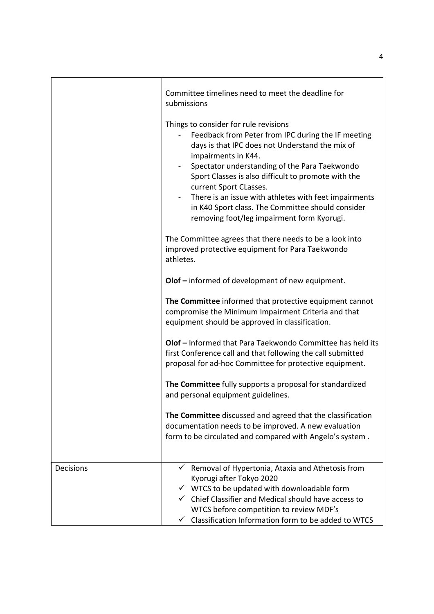|                  | Committee timelines need to meet the deadline for<br>submissions                                                                                                                                                                                                                                                                                                                                                                                                    |
|------------------|---------------------------------------------------------------------------------------------------------------------------------------------------------------------------------------------------------------------------------------------------------------------------------------------------------------------------------------------------------------------------------------------------------------------------------------------------------------------|
|                  | Things to consider for rule revisions<br>Feedback from Peter from IPC during the IF meeting<br>days is that IPC does not Understand the mix of<br>impairments in K44.<br>Spectator understanding of the Para Taekwondo<br>Sport Classes is also difficult to promote with the<br>current Sport CLasses.<br>There is an issue with athletes with feet impairments<br>in K40 Sport class. The Committee should consider<br>removing foot/leg impairment form Kyorugi. |
|                  | The Committee agrees that there needs to be a look into<br>improved protective equipment for Para Taekwondo<br>athletes.                                                                                                                                                                                                                                                                                                                                            |
|                  | Olof - informed of development of new equipment.                                                                                                                                                                                                                                                                                                                                                                                                                    |
|                  | The Committee informed that protective equipment cannot<br>compromise the Minimum Impairment Criteria and that<br>equipment should be approved in classification.                                                                                                                                                                                                                                                                                                   |
|                  | Olof - Informed that Para Taekwondo Committee has held its<br>first Conference call and that following the call submitted<br>proposal for ad-hoc Committee for protective equipment.                                                                                                                                                                                                                                                                                |
|                  | The Committee fully supports a proposal for standardized<br>and personal equipment guidelines.                                                                                                                                                                                                                                                                                                                                                                      |
|                  | The Committee discussed and agreed that the classification<br>documentation needs to be improved. A new evaluation<br>form to be circulated and compared with Angelo's system.                                                                                                                                                                                                                                                                                      |
| <b>Decisions</b> | Removal of Hypertonia, Ataxia and Athetosis from<br>Kyorugi after Tokyo 2020<br>$\checkmark$ WTCS to be updated with downloadable form<br>$\checkmark$ Chief Classifier and Medical should have access to<br>WTCS before competition to review MDF's                                                                                                                                                                                                                |
|                  | Classification Information form to be added to WTCS                                                                                                                                                                                                                                                                                                                                                                                                                 |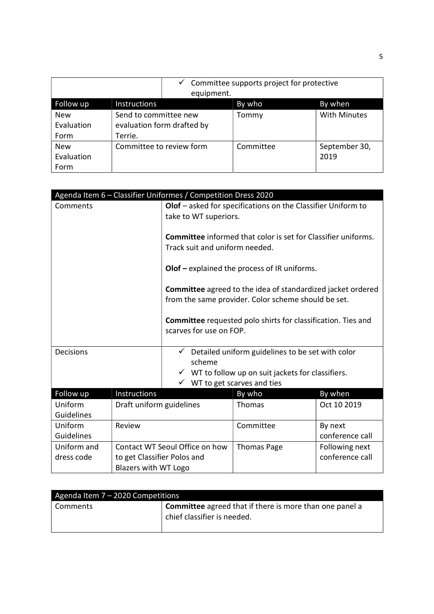|            |                            | equipment. | $\checkmark$ Committee supports project for protective |                     |
|------------|----------------------------|------------|--------------------------------------------------------|---------------------|
| Follow up  | Instructions               |            | By who                                                 | By when             |
| <b>New</b> | Send to committee new      |            | Tommy                                                  | <b>With Minutes</b> |
| Evaluation | evaluation form drafted by |            |                                                        |                     |
| Form       | Terrie.                    |            |                                                        |                     |
| <b>New</b> | Committee to review form   |            | Committee                                              | September 30,       |
| Evaluation |                            |            |                                                        | 2019                |
| Form       |                            |            |                                                        |                     |

| Agenda Item 6 - Classifier Uniformes / Competition Dress 2020 |                                |                                                                                                |                                                                      |                 |
|---------------------------------------------------------------|--------------------------------|------------------------------------------------------------------------------------------------|----------------------------------------------------------------------|-----------------|
| Comments                                                      |                                |                                                                                                | Olof - asked for specifications on the Classifier Uniform to         |                 |
|                                                               |                                | take to WT superiors.                                                                          |                                                                      |                 |
|                                                               |                                |                                                                                                |                                                                      |                 |
|                                                               |                                |                                                                                                | <b>Committee</b> informed that color is set for Classifier uniforms. |                 |
|                                                               |                                | Track suit and uniform needed.                                                                 |                                                                      |                 |
|                                                               |                                |                                                                                                |                                                                      |                 |
|                                                               |                                |                                                                                                | $O$ lof $-$ explained the process of IR uniforms.                    |                 |
|                                                               |                                |                                                                                                |                                                                      |                 |
|                                                               |                                |                                                                                                | Committee agreed to the idea of standardized jacket ordered          |                 |
|                                                               |                                |                                                                                                | from the same provider. Color scheme should be set.                  |                 |
|                                                               |                                |                                                                                                |                                                                      |                 |
|                                                               |                                | <b>Committee</b> requested polo shirts for classification. Ties and<br>scarves for use on FOP. |                                                                      |                 |
|                                                               |                                |                                                                                                |                                                                      |                 |
| <b>Decisions</b>                                              |                                |                                                                                                | Detailed uniform guidelines to be set with color                     |                 |
|                                                               |                                | scheme                                                                                         |                                                                      |                 |
|                                                               |                                | $\checkmark$ WT to follow up on suit jackets for classifiers.                                  |                                                                      |                 |
|                                                               |                                | $\checkmark$ WT to get scarves and ties                                                        |                                                                      |                 |
| Follow up                                                     | Instructions                   |                                                                                                | By who                                                               | By when         |
| Uniform                                                       | Draft uniform guidelines       |                                                                                                | Thomas                                                               | Oct 10 2019     |
| Guidelines                                                    |                                |                                                                                                |                                                                      |                 |
| Uniform                                                       | Review                         |                                                                                                | Committee                                                            | By next         |
| Guidelines                                                    |                                |                                                                                                |                                                                      | conference call |
| Uniform and                                                   | Contact WT Seoul Office on how |                                                                                                | <b>Thomas Page</b>                                                   | Following next  |
| dress code                                                    | to get Classifier Polos and    |                                                                                                |                                                                      | conference call |
|                                                               | <b>Blazers with WT Logo</b>    |                                                                                                |                                                                      |                 |

| Agenda Item $7 - 2020$ Competitions |                                                                |  |  |
|-------------------------------------|----------------------------------------------------------------|--|--|
| Comments                            | <b>Committee</b> agreed that if there is more than one panel a |  |  |
|                                     | chief classifier is needed.                                    |  |  |
|                                     |                                                                |  |  |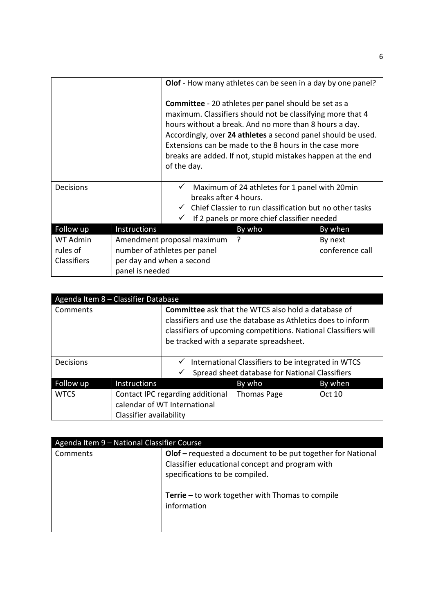|                    |                                                                                                                     |                                                                                                                                                                                                                                                                                                                                                                                             | Olof - How many athletes can be seen in a day by one panel?            |                 |  |
|--------------------|---------------------------------------------------------------------------------------------------------------------|---------------------------------------------------------------------------------------------------------------------------------------------------------------------------------------------------------------------------------------------------------------------------------------------------------------------------------------------------------------------------------------------|------------------------------------------------------------------------|-----------------|--|
|                    |                                                                                                                     | <b>Committee</b> - 20 athletes per panel should be set as a<br>maximum. Classifiers should not be classifying more that 4<br>hours without a break. And no more than 8 hours a day.<br>Accordingly, over 24 athletes a second panel should be used.<br>Extensions can be made to the 8 hours in the case more<br>breaks are added. If not, stupid mistakes happen at the end<br>of the day. |                                                                        |                 |  |
| Decisions          |                                                                                                                     |                                                                                                                                                                                                                                                                                                                                                                                             | Maximum of 24 athletes for 1 panel with 20min<br>breaks after 4 hours. |                 |  |
|                    | $\checkmark$ Chief Classier to run classification but no other tasks<br>If 2 panels or more chief classifier needed |                                                                                                                                                                                                                                                                                                                                                                                             |                                                                        |                 |  |
| Follow up          | Instructions                                                                                                        |                                                                                                                                                                                                                                                                                                                                                                                             | By who                                                                 | By when         |  |
| WT Admin           | Amendment proposal maximum                                                                                          |                                                                                                                                                                                                                                                                                                                                                                                             | ?                                                                      | By next         |  |
| rules of           | number of athletes per panel                                                                                        |                                                                                                                                                                                                                                                                                                                                                                                             |                                                                        | conference call |  |
| <b>Classifiers</b> |                                                                                                                     | per day and when a second                                                                                                                                                                                                                                                                                                                                                                   |                                                                        |                 |  |
|                    | panel is needed                                                                                                     |                                                                                                                                                                                                                                                                                                                                                                                             |                                                                        |                 |  |

|             | Agenda Item 8 - Classifier Database |                                                                                                                                 |                                                |         |  |
|-------------|-------------------------------------|---------------------------------------------------------------------------------------------------------------------------------|------------------------------------------------|---------|--|
| Comments    |                                     | <b>Committee</b> ask that the WTCS also hold a database of                                                                      |                                                |         |  |
|             |                                     | classifiers and use the database as Athletics does to inform<br>classifiers of upcoming competitions. National Classifiers will |                                                |         |  |
|             |                                     |                                                                                                                                 |                                                |         |  |
|             |                                     |                                                                                                                                 | be tracked with a separate spreadsheet.        |         |  |
|             |                                     |                                                                                                                                 |                                                |         |  |
| Decisions   |                                     | International Classifiers to be integrated in WTCS<br>✓                                                                         |                                                |         |  |
|             |                                     |                                                                                                                                 | Spread sheet database for National Classifiers |         |  |
| Follow up   | <b>Instructions</b>                 |                                                                                                                                 | By who                                         | By when |  |
| <b>WTCS</b> | Contact IPC regarding additional    |                                                                                                                                 | <b>Thomas Page</b>                             | Oct 10  |  |
|             | calendar of WT International        |                                                                                                                                 |                                                |         |  |
|             | Classifier availability             |                                                                                                                                 |                                                |         |  |

| Agenda Item 9 - National Classifier Course                              |                                                         |  |  |  |  |
|-------------------------------------------------------------------------|---------------------------------------------------------|--|--|--|--|
| Olof - requested a document to be put together for National<br>Comments |                                                         |  |  |  |  |
|                                                                         | Classifier educational concept and program with         |  |  |  |  |
|                                                                         | specifications to be compiled.                          |  |  |  |  |
|                                                                         |                                                         |  |  |  |  |
|                                                                         | <b>Terrie –</b> to work together with Thomas to compile |  |  |  |  |
|                                                                         | information                                             |  |  |  |  |
|                                                                         |                                                         |  |  |  |  |
|                                                                         |                                                         |  |  |  |  |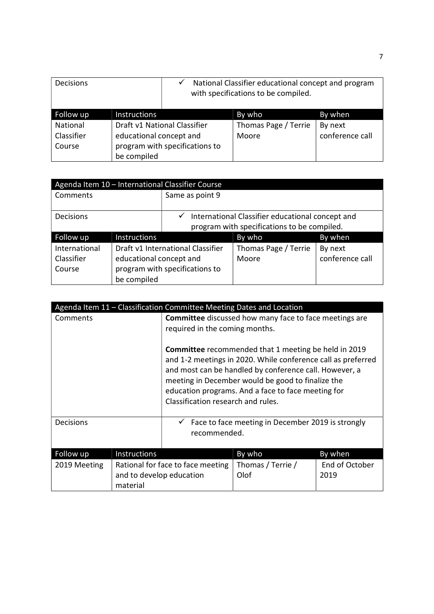| <b>Decisions</b> |                                | National Classifier educational concept and program<br>✓<br>with specifications to be compiled. |                      |                 |
|------------------|--------------------------------|-------------------------------------------------------------------------------------------------|----------------------|-----------------|
| Follow up        | <b>Instructions</b>            |                                                                                                 | By who               | By when         |
| National         | Draft v1 National Classifier   |                                                                                                 | Thomas Page / Terrie | By next         |
| Classifier       | educational concept and        |                                                                                                 | Moore                | conference call |
| Course           | program with specifications to |                                                                                                 |                      |                 |
|                  | be compiled                    |                                                                                                 |                      |                 |

|                  | Agenda Item 10 - International Classifier Course |                                             |                                                  |                 |  |  |  |
|------------------|--------------------------------------------------|---------------------------------------------|--------------------------------------------------|-----------------|--|--|--|
| Comments         |                                                  | Same as point 9                             |                                                  |                 |  |  |  |
|                  |                                                  |                                             |                                                  |                 |  |  |  |
| <b>Decisions</b> |                                                  | ✓                                           | International Classifier educational concept and |                 |  |  |  |
|                  |                                                  | program with specifications to be compiled. |                                                  |                 |  |  |  |
| Follow up        | Instructions                                     |                                             | By who                                           | By when         |  |  |  |
| International    | Draft v1 International Classifier                |                                             | Thomas Page / Terrie                             | By next         |  |  |  |
| Classifier       | educational concept and                          |                                             | Moore                                            | conference call |  |  |  |
| Course           | program with specifications to                   |                                             |                                                  |                 |  |  |  |
|                  | be compiled                                      |                                             |                                                  |                 |  |  |  |

| Agenda Item 11 - Classification Committee Meeting Dates and Location |                                                                                                 |                                                                                                                                                                                                                                                                                                                                        |                                                   |                        |  |
|----------------------------------------------------------------------|-------------------------------------------------------------------------------------------------|----------------------------------------------------------------------------------------------------------------------------------------------------------------------------------------------------------------------------------------------------------------------------------------------------------------------------------------|---------------------------------------------------|------------------------|--|
| Comments                                                             | <b>Committee</b> discussed how many face to face meetings are<br>required in the coming months. |                                                                                                                                                                                                                                                                                                                                        |                                                   |                        |  |
|                                                                      |                                                                                                 | <b>Committee</b> recommended that 1 meeting be held in 2019<br>and 1-2 meetings in 2020. While conference call as preferred<br>and most can be handled by conference call. However, a<br>meeting in December would be good to finalize the<br>education programs. And a face to face meeting for<br>Classification research and rules. |                                                   |                        |  |
| <b>Decisions</b>                                                     | recommended.                                                                                    |                                                                                                                                                                                                                                                                                                                                        | Face to face meeting in December 2019 is strongly |                        |  |
| Follow up                                                            | Instructions                                                                                    |                                                                                                                                                                                                                                                                                                                                        | By who                                            | By when                |  |
| 2019 Meeting                                                         | and to develop education<br>material                                                            | Rational for face to face meeting                                                                                                                                                                                                                                                                                                      | Thomas / Terrie /<br>Olof                         | End of October<br>2019 |  |